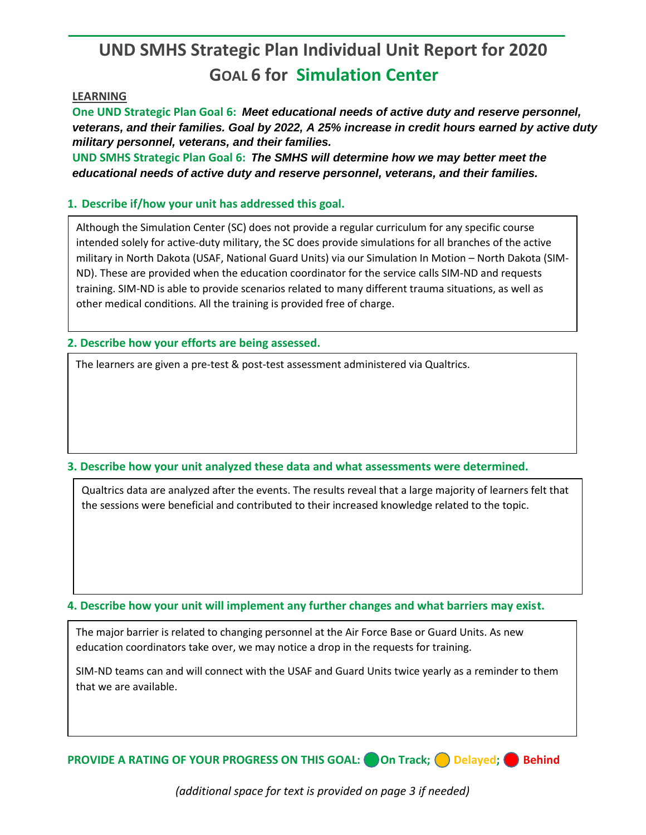## **UND SMHS Strategic Plan Individual Unit Report for 2020 GOAL 6 for Simulation Center**

## **LEARNING**

**One UND Strategic Plan Goal 6:** *Meet educational needs of active duty and reserve personnel, veterans, and their families. Goal by 2022, A 25% increase in credit hours earned by active duty military personnel, veterans, and their families.*

**UND SMHS Strategic Plan Goal 6:** *The SMHS will determine how we may better meet the educational needs of active duty and reserve personnel, veterans, and their families.*

## **1. Describe if/how your unit has addressed this goal.**

Although the Simulation Center (SC) does not provide a regular curriculum for any specific course intended solely for active-duty military, the SC does provide simulations for all branches of the active military in North Dakota (USAF, National Guard Units) via our Simulation In Motion – North Dakota (SIM-ND). These are provided when the education coordinator for the service calls SIM-ND and requests training. SIM-ND is able to provide scenarios related to many different trauma situations, as well as other medical conditions. All the training is provided free of charge.

**2. Describe how your efforts are being assessed.** 

The learners are given a pre-test & post-test assessment administered via Qualtrics.

## **3. Describe how your unit analyzed these data and what assessments were determined.**

Qualtrics data are analyzed after the events. The results reveal that a large majority of learners felt that the sessions were beneficial and contributed to their increased knowledge related to the topic.

**4. Describe how your unit will implement any further changes and what barriers may exist.**

The major barrier is related to changing personnel at the Air Force Base or Guard Units. As new education coordinators take over, we may notice a drop in the requests for training.

SIM-ND teams can and will connect with the USAF and Guard Units twice yearly as a reminder to them that we are available.

**PROVIDE A RATING OF YOUR PROGRESS ON THIS GOAL:** On Track; O Delayed; O Behind

*(additional space for text is provided on page 3 if needed)*